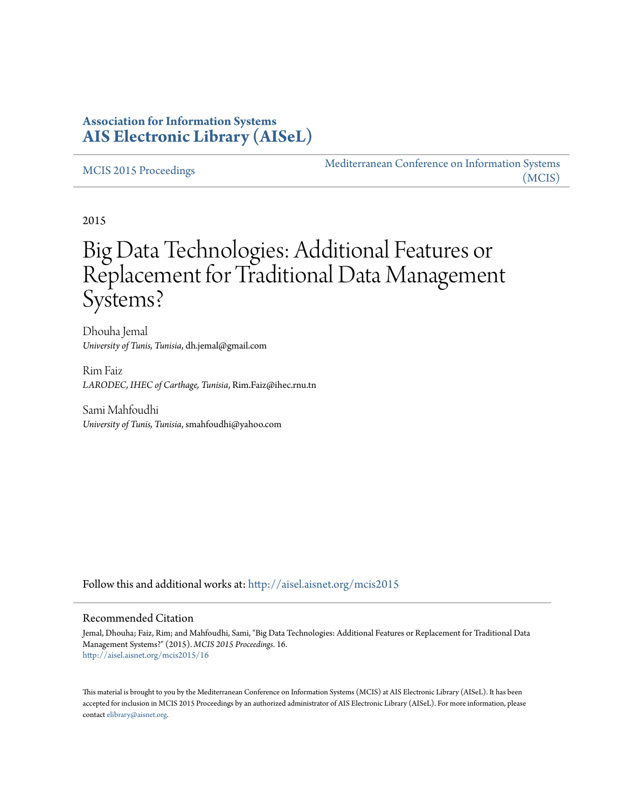# **Association for Information Systems [AIS Electronic Library \(AISeL\)](http://aisel.aisnet.org?utm_source=aisel.aisnet.org%2Fmcis2015%2F16&utm_medium=PDF&utm_campaign=PDFCoverPages)**

#### [MCIS 2015 Proceedings](http://aisel.aisnet.org/mcis2015?utm_source=aisel.aisnet.org%2Fmcis2015%2F16&utm_medium=PDF&utm_campaign=PDFCoverPages)

[Mediterranean Conference on Information Systems](http://aisel.aisnet.org/mcis?utm_source=aisel.aisnet.org%2Fmcis2015%2F16&utm_medium=PDF&utm_campaign=PDFCoverPages) [\(MCIS\)](http://aisel.aisnet.org/mcis?utm_source=aisel.aisnet.org%2Fmcis2015%2F16&utm_medium=PDF&utm_campaign=PDFCoverPages)

2015

# Big Data Technologies: Additional Features or Replacement for Traditional Data Management Systems?

Dhouha Jemal *University of Tunis, Tunisia*, dh.jemal@gmail.com

Rim Faiz *LARODEC, IHEC of Carthage, Tunisia*, Rim.Faiz@ihec.rnu.tn

Sami Mahfoudhi *University of Tunis, Tunisia*, smahfoudhi@yahoo.com

Follow this and additional works at: [http://aisel.aisnet.org/mcis2015](http://aisel.aisnet.org/mcis2015?utm_source=aisel.aisnet.org%2Fmcis2015%2F16&utm_medium=PDF&utm_campaign=PDFCoverPages)

#### Recommended Citation

Jemal, Dhouha; Faiz, Rim; and Mahfoudhi, Sami, "Big Data Technologies: Additional Features or Replacement for Traditional Data Management Systems?" (2015). *MCIS 2015 Proceedings*. 16. [http://aisel.aisnet.org/mcis2015/16](http://aisel.aisnet.org/mcis2015/16?utm_source=aisel.aisnet.org%2Fmcis2015%2F16&utm_medium=PDF&utm_campaign=PDFCoverPages)

This material is brought to you by the Mediterranean Conference on Information Systems (MCIS) at AIS Electronic Library (AISeL). It has been accepted for inclusion in MCIS 2015 Proceedings by an authorized administrator of AIS Electronic Library (AISeL). For more information, please contact [elibrary@aisnet.org.](mailto:elibrary@aisnet.org%3E)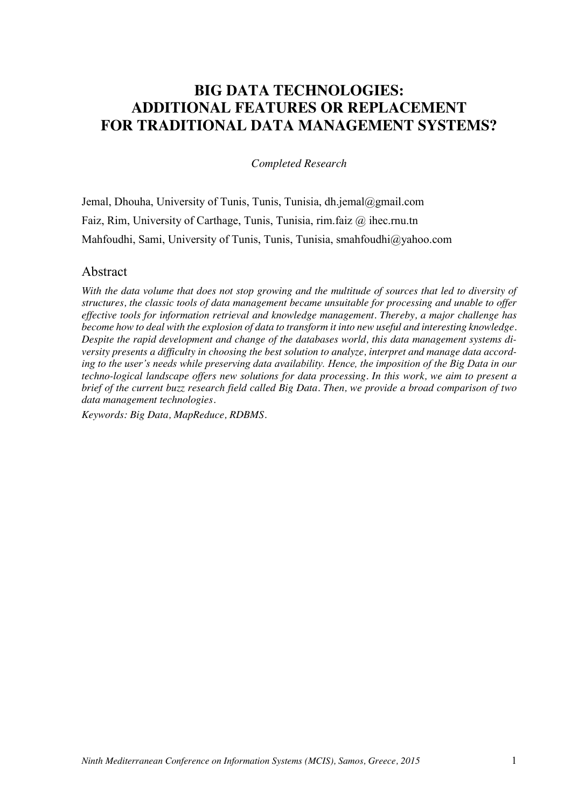# **BIG DATA TECHNOLOGIES: ADDITIONAL FEATURES OR REPLACEMENT FOR TRADITIONAL DATA MANAGEMENT SYSTEMS?**

*Completed Research*

Jemal, Dhouha, University of Tunis, Tunis, Tunisia, dh.jemal@gmail.com Faiz, Rim, University of Carthage, Tunis, Tunisia, rim.faiz @ ihec.rnu.tn Mahfoudhi, Sami, University of Tunis, Tunis, Tunisia, smahfoudhi@yahoo.com

#### Abstract

*With the data volume that does not stop growing and the multitude of sources that led to diversity of structures, the classic tools of data management became unsuitable for processing and unable to offer effective tools for information retrieval and knowledge management. Thereby, a major challenge has become how to deal with the explosion of data to transform it into new useful and interesting knowledge. Despite the rapid development and change of the databases world, this data management systems diversity presents a difficulty in choosing the best solution to analyze, interpret and manage data according to the user's needs while preserving data availability. Hence, the imposition of the Big Data in our techno-logical landscape offers new solutions for data processing. In this work, we aim to present a brief of the current buzz research field called Big Data. Then, we provide a broad comparison of two data management technologies.*

*Keywords: Big Data, MapReduce, RDBMS.*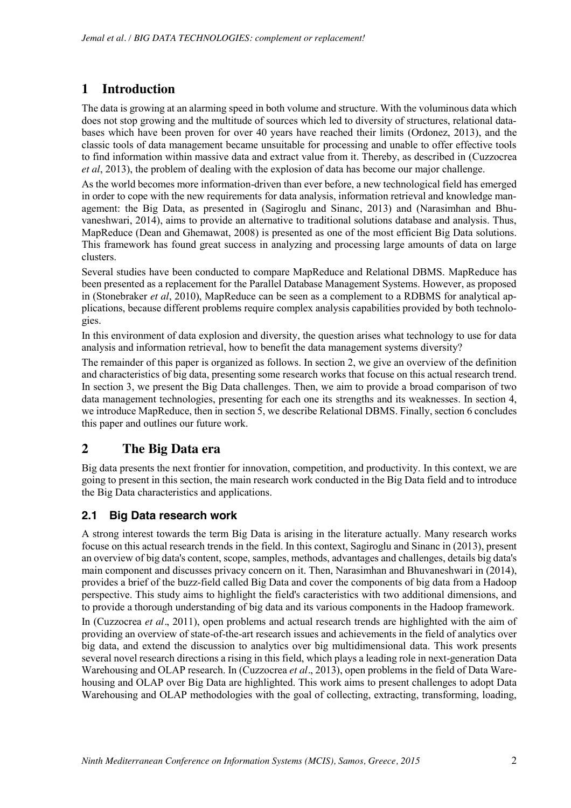# **1 Introduction**

The data is growing at an alarming speed in both volume and structure. With the voluminous data which does not stop growing and the multitude of sources which led to diversity of structures, relational databases which have been proven for over 40 years have reached their limits (Ordonez, 2013), and the classic tools of data management became unsuitable for processing and unable to offer effective tools to find information within massive data and extract value from it. Thereby, as described in (Cuzzocrea *et al*, 2013), the problem of dealing with the explosion of data has become our major challenge.

As the world becomes more information-driven than ever before, a new technological field has emerged in order to cope with the new requirements for data analysis, information retrieval and knowledge management: the Big Data, as presented in (Sagiroglu and Sinanc, 2013) and (Narasimhan and Bhuvaneshwari, 2014), aims to provide an alternative to traditional solutions database and analysis. Thus, MapReduce (Dean and Ghemawat, 2008) is presented as one of the most efficient Big Data solutions. This framework has found great success in analyzing and processing large amounts of data on large clusters.

Several studies have been conducted to compare MapReduce and Relational DBMS. MapReduce has been presented as a replacement for the Parallel Database Management Systems. However, as proposed in (Stonebraker *et al*, 2010), MapReduce can be seen as a complement to a RDBMS for analytical applications, because different problems require complex analysis capabilities provided by both technologies.

In this environment of data explosion and diversity, the question arises what technology to use for data analysis and information retrieval, how to benefit the data management systems diversity?

The remainder of this paper is organized as follows. In section 2, we give an overview of the definition and characteristics of big data, presenting some research works that focuse on this actual research trend. In section 3, we present the Big Data challenges. Then, we aim to provide a broad comparison of two data management technologies, presenting for each one its strengths and its weaknesses. In section 4, we introduce MapReduce, then in section 5, we describe Relational DBMS. Finally, section 6 concludes this paper and outlines our future work.

## **2 The Big Data era**

Big data presents the next frontier for innovation, competition, and productivity. In this context, we are going to present in this section, the main research work conducted in the Big Data field and to introduce the Big Data characteristics and applications.

## **2.1 Big Data research work**

A strong interest towards the term Big Data is arising in the literature actually. Many research works focuse on this actual research trends in the field. In this context, Sagiroglu and Sinanc in (2013), present an overview of big data's content, scope, samples, methods, advantages and challenges, details big data's main component and discusses privacy concern on it. Then, Narasimhan and Bhuvaneshwari in (2014), provides a brief of the buzz-field called Big Data and cover the components of big data from a Hadoop perspective. This study aims to highlight the field's caracteristics with two additional dimensions, and to provide a thorough understanding of big data and its various components in the Hadoop framework.

In (Cuzzocrea *et al.*, 2011), open problems and actual research trends are highlighted with the aim of providing an overview of state-of-the-art research issues and achievements in the field of analytics over big data, and extend the discussion to analytics over big multidimensional data. This work presents several novel research directions a rising in this field, which plays a leading role in next-generation Data Warehousing and OLAP research. In (Cuzzocrea *et al.*, 2013), open problems in the field of Data Warehousing and OLAP over Big Data are highlighted. This work aims to present challenges to adopt Data Warehousing and OLAP methodologies with the goal of collecting, extracting, transforming, loading,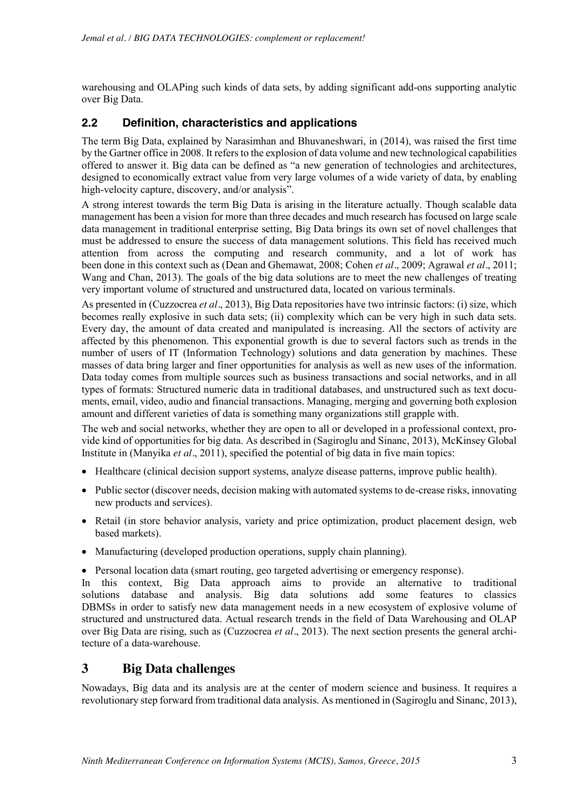warehousing and OLAPing such kinds of data sets, by adding significant add-ons supporting analytic over Big Data.

#### **2.2 Definition, characteristics and applications**

The term Big Data, explained by Narasimhan and Bhuvaneshwari, in (2014), was raised the first time by the Gartner office in 2008. It refers to the explosion of data volume and new technological capabilities offered to answer it. Big data can be defined as "a new generation of technologies and architectures, designed to economically extract value from very large volumes of a wide variety of data, by enabling high-velocity capture, discovery, and/or analysis".

A strong interest towards the term Big Data is arising in the literature actually. Though scalable data management has been a vision for more than three decades and much research has focused on large scale data management in traditional enterprise setting, Big Data brings its own set of novel challenges that must be addressed to ensure the success of data management solutions. This field has received much attention from across the computing and research community, and a lot of work has been done in this context such as (Dean and Ghemawat, 2008; Cohen *et al.*, 2009; Agrawal *et al.*, 2011; Wang and Chan, 2013). The goals of the big data solutions are to meet the new challenges of treating very important volume of structured and unstructured data, located on various terminals.

As presented in (Cuzzocrea *et al.*, 2013), Big Data repositories have two intrinsic factors: (i) size, which becomes really explosive in such data sets; (ii) complexity which can be very high in such data sets. Every day, the amount of data created and manipulated is increasing. All the sectors of activity are affected by this phenomenon. This exponential growth is due to several factors such as trends in the number of users of IT (Information Technology) solutions and data generation by machines. These masses of data bring larger and finer opportunities for analysis as well as new uses of the information. Data today comes from multiple sources such as business transactions and social networks, and in all types of formats: Structured numeric data in traditional databases, and unstructured such as text documents, email, video, audio and financial transactions. Managing, merging and governing both explosion amount and different varieties of data is something many organizations still grapple with.

The web and social networks, whether they are open to all or developed in a professional context, provide kind of opportunities for big data. As described in (Sagiroglu and Sinanc, 2013), McKinsey Global Institute in (Manyika *et al.*, 2011), specified the potential of big data in five main topics:

- $\bullet$  Healthcare (clinical decision support systems, analyze disease patterns, improve public health).
- Public sector (discover needs, decision making with automated systems to de-crease risks, innovating new products and services).
- Retail (in store behavior analysis, variety and price optimization, product placement design, web based markets).
- Manufacturing (developed production operations, supply chain planning).

• Personal location data (smart routing, geo targeted advertising or emergency response).

In this context, Big Data approach aims to provide an alternative to traditional solutions database and analysis. Big data solutions add some features to classics DBMSs in order to satisfy new data management needs in a new ecosystem of explosive volume of structured and unstructured data. Actual research trends in the field of Data Warehousing and OLAP over Big Data are rising, such as (Cuzzocrea *et al.*, 2013). The next section presents the general architecture of a data-warehouse.

## **3 Big Data challenges**

Nowadays, Big data and its analysis are at the center of modern science and business. It requires a revolutionary step forward from traditional data analysis. As mentioned in (Sagiroglu and Sinanc, 2013),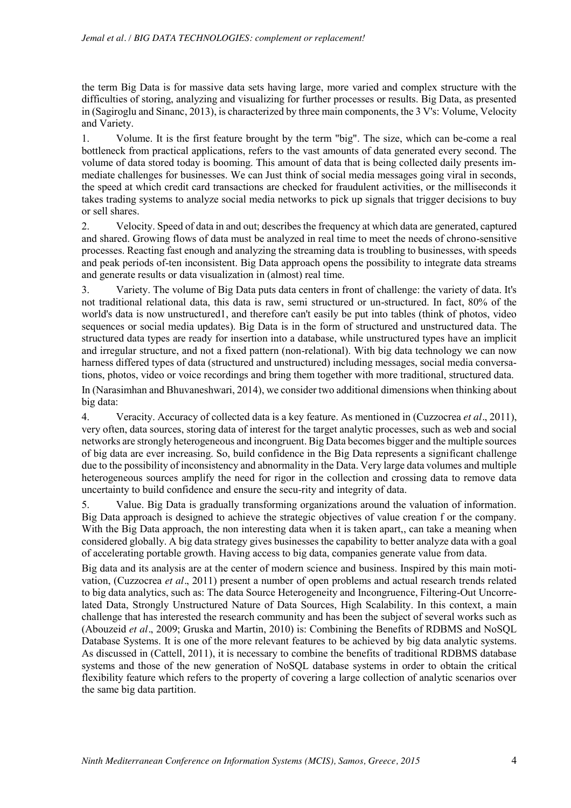the term Big Data is for massive data sets having large, more varied and complex structure with the difficulties of storing, analyzing and visualizing for further processes or results. Big Data, as presented in (Sagiroglu and Sinanc, 2013), is characterized by three main components, the 3 V's: Volume, Velocity and Variety.

1. Volume. It is the first feature brought by the term "big". The size, which can be-come a real bottleneck from practical applications, refers to the vast amounts of data generated every second. The volume of data stored today is booming. This amount of data that is being collected daily presents immediate challenges for businesses. We can Just think of social media messages going viral in seconds, the speed at which credit card transactions are checked for fraudulent activities, or the milliseconds it takes trading systems to analyze social media networks to pick up signals that trigger decisions to buy or sell shares.

2. Velocity. Speed of data in and out; describes the frequency at which data are generated, captured and shared. Growing flows of data must be analyzed in real time to meet the needs of chrono-sensitive processes. Reacting fast enough and analyzing the streaming data is troubling to businesses, with speeds and peak periods of-ten inconsistent. Big Data approach opens the possibility to integrate data streams and generate results or data visualization in (almost) real time.

3. Variety. The volume of Big Data puts data centers in front of challenge: the variety of data. It's not traditional relational data, this data is raw, semi structured or un-structured. In fact, 80% of the world's data is now unstructured1, and therefore can't easily be put into tables (think of photos, video sequences or social media updates). Big Data is in the form of structured and unstructured data. The structured data types are ready for insertion into a database, while unstructured types have an implicit and irregular structure, and not a fixed pattern (non-relational). With big data technology we can now harness differed types of data (structured and unstructured) including messages, social media conversations, photos, video or voice recordings and bring them together with more traditional, structured data.

In (Narasimhan and Bhuvaneshwari, 2014), we consider two additional dimensions when thinking about big data:

4. Veracity. Accuracy of collected data is a key feature. As mentioned in (Cuzzocrea *et al.*, 2011), very often, data sources, storing data of interest for the target analytic processes, such as web and social networks are strongly heterogeneous and incongruent. Big Data becomes bigger and the multiple sources of big data are ever increasing. So, build confidence in the Big Data represents a significant challenge due to the possibility of inconsistency and abnormality in the Data. Very large data volumes and multiple heterogeneous sources amplify the need for rigor in the collection and crossing data to remove data uncertainty to build confidence and ensure the secu-rity and integrity of data.

5. Value. Big Data is gradually transforming organizations around the valuation of information. Big Data approach is designed to achieve the strategic objectives of value creation f or the company. With the Big Data approach, the non interesting data when it is taken apart,, can take a meaning when considered globally. A big data strategy gives businesses the capability to better analyze data with a goal of accelerating portable growth. Having access to big data, companies generate value from data.

Big data and its analysis are at the center of modern science and business. Inspired by this main motivation, (Cuzzocrea *et al.*, 2011) present a number of open problems and actual research trends related to big data analytics, such as: The data Source Heterogeneity and Incongruence, Filtering-Out Uncorrelated Data, Strongly Unstructured Nature of Data Sources, High Scalability. In this context, a main challenge that has interested the research community and has been the subject of several works such as (Abouzeid *et al.*, 2009; Gruska and Martin, 2010) is: Combining the Benefits of RDBMS and NoSQL Database Systems. It is one of the more relevant features to be achieved by big data analytic systems. As discussed in (Cattell, 2011), it is necessary to combine the benefits of traditional RDBMS database systems and those of the new generation of NoSQL database systems in order to obtain the critical flexibility feature which refers to the property of covering a large collection of analytic scenarios over the same big data partition.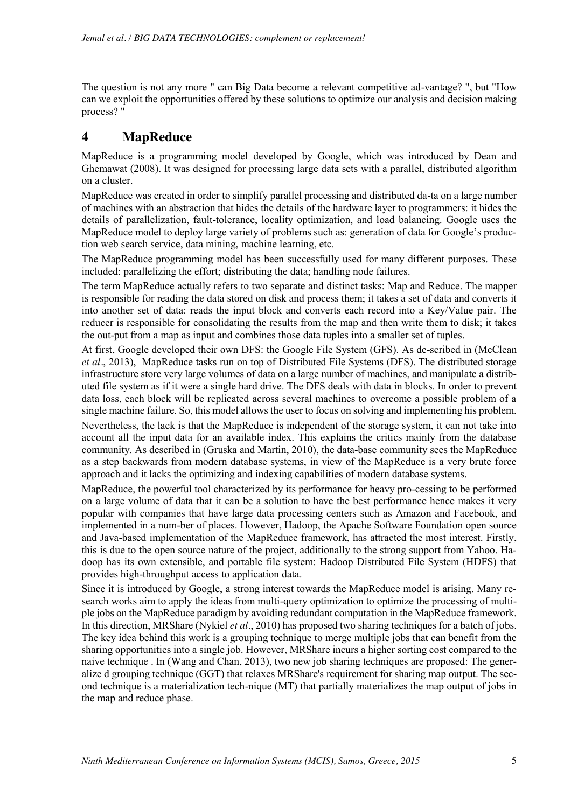The question is not any more " can Big Data become a relevant competitive ad-vantage? ", but "How can we exploit the opportunities offered by these solutions to optimize our analysis and decision making process? "

#### **4 MapReduce**

MapReduce is a programming model developed by Google, which was introduced by Dean and Ghemawat (2008). It was designed for processing large data sets with a parallel, distributed algorithm on a cluster.

MapReduce was created in order to simplify parallel processing and distributed da-ta on a large number of machines with an abstraction that hides the details of the hardware layer to programmers: it hides the details of parallelization, fault-tolerance, locality optimization, and load balancing. Google uses the MapReduce model to deploy large variety of problems such as: generation of data for Google's production web search service, data mining, machine learning, etc.

The MapReduce programming model has been successfully used for many different purposes. These included: parallelizing the effort; distributing the data; handling node failures.

The term MapReduce actually refers to two separate and distinct tasks: Map and Reduce. The mapper is responsible for reading the data stored on disk and process them; it takes a set of data and converts it into another set of data: reads the input block and converts each record into a Key/Value pair. The reducer is responsible for consolidating the results from the map and then write them to disk; it takes the out-put from a map as input and combines those data tuples into a smaller set of tuples.

At first, Google developed their own DFS: the Google File System (GFS). As de-scribed in (McClean *et al.*, 2013), MapReduce tasks run on top of Distributed File Systems (DFS). The distributed storage infrastructure store very large volumes of data on a large number of machines, and manipulate a distributed file system as if it were a single hard drive. The DFS deals with data in blocks. In order to prevent data loss, each block will be replicated across several machines to overcome a possible problem of a single machine failure. So, this model allows the user to focus on solving and implementing his problem.

Nevertheless, the lack is that the MapReduce is independent of the storage system, it can not take into account all the input data for an available index. This explains the critics mainly from the database community. As described in (Gruska and Martin, 2010), the data-base community sees the MapReduce as a step backwards from modern database systems, in view of the MapReduce is a very brute force approach and it lacks the optimizing and indexing capabilities of modern database systems.

MapReduce, the powerful tool characterized by its performance for heavy pro-cessing to be performed on a large volume of data that it can be a solution to have the best performance hence makes it very popular with companies that have large data processing centers such as Amazon and Facebook, and implemented in a num-ber of places. However, Hadoop, the Apache Software Foundation open source and Java-based implementation of the MapReduce framework, has attracted the most interest. Firstly, this is due to the open source nature of the project, additionally to the strong support from Yahoo. Hadoop has its own extensible, and portable file system: Hadoop Distributed File System (HDFS) that provides high-throughput access to application data.

Since it is introduced by Google, a strong interest towards the MapReduce model is arising. Many research works aim to apply the ideas from multi-query optimization to optimize the processing of multiple jobs on the MapReduce paradigm by avoiding redundant computation in the MapReduce framework. In this direction, MRShare (Nykiel *et al.*, 2010) has proposed two sharing techniques for a batch of jobs. The key idea behind this work is a grouping technique to merge multiple jobs that can benefit from the sharing opportunities into a single job. However, MRShare incurs a higher sorting cost compared to the naive technique . In (Wang and Chan, 2013), two new job sharing techniques are proposed: The generalize d grouping technique (GGT) that relaxes MRShare's requirement for sharing map output. The second technique is a materialization tech-nique (MT) that partially materializes the map output of jobs in the map and reduce phase.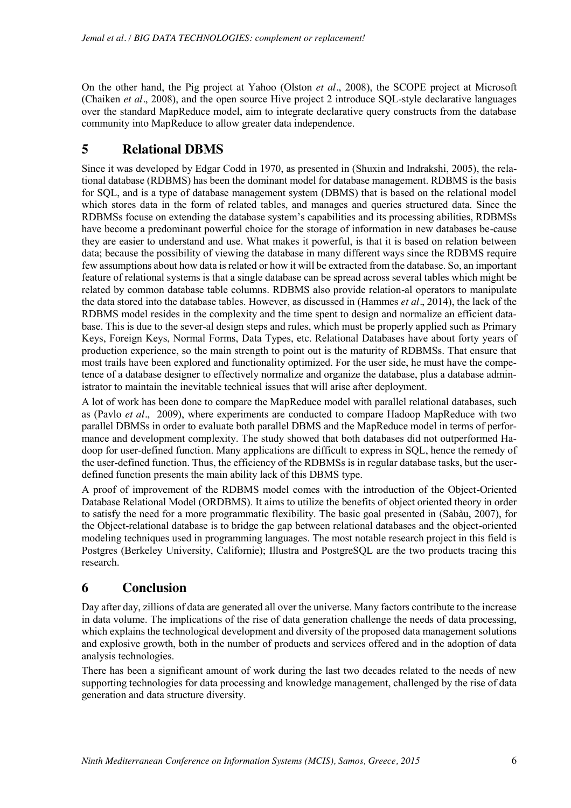On the other hand, the Pig project at Yahoo (Olston *et al.*, 2008), the SCOPE project at Microsoft (Chaiken *et al.*, 2008), and the open source Hive project 2 introduce SQL-style declarative languages over the standard MapReduce model, aim to integrate declarative query constructs from the database community into MapReduce to allow greater data independence.

# **5 Relational DBMS**

Since it was developed by Edgar Codd in 1970, as presented in (Shuxin and Indrakshi, 2005), the relational database (RDBMS) has been the dominant model for database management. RDBMS is the basis for SQL, and is a type of database management system (DBMS) that is based on the relational model which stores data in the form of related tables, and manages and queries structured data. Since the RDBMSs focuse on extending the database system's capabilities and its processing abilities, RDBMSs have become a predominant powerful choice for the storage of information in new databases be-cause they are easier to understand and use. What makes it powerful, is that it is based on relation between data; because the possibility of viewing the database in many different ways since the RDBMS require few assumptions about how data is related or how it will be extracted from the database. So, an important feature of relational systems is that a single database can be spread across several tables which might be related by common database table columns. RDBMS also provide relation-al operators to manipulate the data stored into the database tables. However, as discussed in (Hammes *et al.*, 2014), the lack of the RDBMS model resides in the complexity and the time spent to design and normalize an efficient database. This is due to the sever-al design steps and rules, which must be properly applied such as Primary Keys, Foreign Keys, Normal Forms, Data Types, etc. Relational Databases have about forty years of production experience, so the main strength to point out is the maturity of RDBMSs. That ensure that most trails have been explored and functionality optimized. For the user side, he must have the competence of a database designer to effectively normalize and organize the database, plus a database administrator to maintain the inevitable technical issues that will arise after deployment.

A lot of work has been done to compare the MapReduce model with parallel relational databases, such as (Pavlo *et al.*, 2009), where experiments are conducted to compare Hadoop MapReduce with two parallel DBMSs in order to evaluate both parallel DBMS and the MapReduce model in terms of performance and development complexity. The study showed that both databases did not outperformed Hadoop for user-defined function. Many applications are difficult to express in SQL, hence the remedy of the user-defined function. Thus, the efficiency of the RDBMSs is in regular database tasks, but the userdefined function presents the main ability lack of this DBMS type.

A proof of improvement of the RDBMS model comes with the introduction of the Object-Oriented Database Relational Model (ORDBMS). It aims to utilize the benefits of object oriented theory in order to satisfy the need for a more programmatic flexibility. The basic goal presented in (Sabàu, 2007), for the Object-relational database is to bridge the gap between relational databases and the object-oriented modeling techniques used in programming languages. The most notable research project in this field is Postgres (Berkeley University, Californie); Illustra and PostgreSQL are the two products tracing this research.

# **6 Conclusion**

Day after day, zillions of data are generated all over the universe. Many factors contribute to the increase in data volume. The implications of the rise of data generation challenge the needs of data processing, which explains the technological development and diversity of the proposed data management solutions and explosive growth, both in the number of products and services offered and in the adoption of data analysis technologies.

There has been a significant amount of work during the last two decades related to the needs of new supporting technologies for data processing and knowledge management, challenged by the rise of data generation and data structure diversity.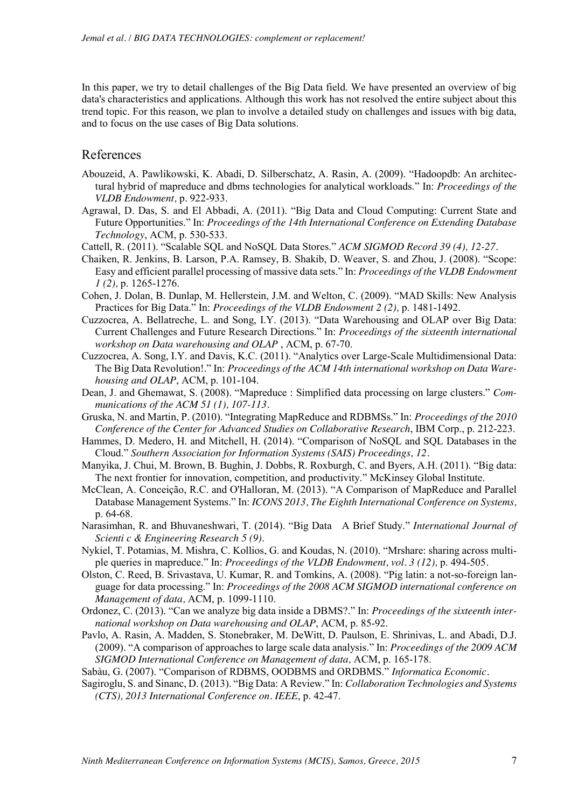In this paper, we try to detail challenges of the Big Data field. We have presented an overview of big data's characteristics and applications. Although this work has not resolved the entire subject about this trend topic. For this reason, we plan to involve a detailed study on challenges and issues with big data, and to focus on the use cases of Big Data solutions.

#### References

- Abouzeid, A. Pawlikowski, K. Abadi, D. Silberschatz, A. Rasin, A. (2009). "Hadoopdb: An architectural hybrid of mapreduce and dbms technologies for analytical workloads." In: *Proceedings of the VLDB Endowment,* p. 922-933.
- Agrawal, D. Das, S. and El Abbadi, A. (2011). "Big Data and Cloud Computing: Current State and Future Opportunities." In: *Proceedings of the 14th International Conference on Extending Database Technology*, ACM, p. 530-533.
- Cattell, R. (2011). "Scalable SQL and NoSQL Data Stores." *ACM SIGMOD Record 39 (4), 12-27.*
- Chaiken, R. Jenkins, B. Larson, P.A. Ramsey, B. Shakib, D. Weaver, S. and Zhou, J. (2008). "Scope: Easy and efficient parallel processing of massive data sets." In: *Proceedings of the VLDB Endowment 1 (2),* p. 1265-1276.
- Cohen, J. Dolan, B. Dunlap, M. Hellerstein, J.M. and Welton, C. (2009). "MAD Skills: New Analysis Practices for Big Data." In: *Proceedings of the VLDB Endowment 2 (2),* p. 1481-1492.
- Cuzzocrea, A. Bellatreche, L. and Song, I.Y. (2013). "Data Warehousing and OLAP over Big Data: Current Challenges and Future Research Directions." In: *Proceedings of the sixteenth international workshop on Data warehousing and OLAP* , ACM, p. 67-70.
- Cuzzocrea, A. Song, I.Y. and Davis, K.C. (2011). "Analytics over Large-Scale Multidimensional Data: The Big Data Revolution!." In: *Proceedings of the ACM 14th international workshop on Data Warehousing and OLAP*, ACM, p. 101-104.
- Dean, J. and Ghemawat, S. (2008). "Mapreduce : Simplified data processing on large clusters." *Communications of the ACM 51 (1), 107-113.*
- Gruska, N. and Martin, P. (2010). "Integrating MapReduce and RDBMSs." In: *Proceedings of the 2010 Conference of the Center for Advanced Studies on Collaborative Research*, IBM Corp., p. 212-223.
- Hammes, D. Medero, H. and Mitchell, H. (2014). "Comparison of NoSQL and SQL Databases in the Cloud." *Southern Association for Information Systems (SAIS) Proceedings, 12.*
- Manyika, J. Chui, M. Brown, B. Bughin, J. Dobbs, R. Roxburgh, C. and Byers, A.H. (2011). "Big data: The next frontier for innovation, competition, and productivity." McKinsey Global Institute.
- McClean, A. Conceição, R.C. and O'Halloran, M. (2013). "A Comparison of MapReduce and Parallel Database Management Systems." In: *ICONS 2013, The Eighth International Conference on Systems,*  p. 64-68.
- Narasimhan, R. and Bhuvaneshwari, T. (2014). "Big Data A Brief Study." *International Journal of Scienti c & Engineering Research 5 (9).*
- Nykiel, T. Potamias, M. Mishra, C. Kollios, G. and Koudas, N. (2010). "Mrshare: sharing across multiple queries in mapreduce." In: *Proceedings of the VLDB Endowment, vol. 3 (12),* p. 494-505*.*
- Olston, C. Reed, B. Srivastava, U. Kumar, R. and Tomkins, A. (2008). "Pig latin: a not-so-foreign language for data processing." In: *Proceedings of the 2008 ACM SIGMOD international conference on Management of data,* ACM, p. 1099-1110.
- Ordonez, C. (2013). "Can we analyze big data inside a DBMS?." In: *Proceedings of the sixteenth international workshop on Data warehousing and OLAP*, ACM, p. 85-92.
- Pavlo, A. Rasin, A. Madden, S. Stonebraker, M. DeWitt, D. Paulson, E. Shrinivas, L. and Abadi, D.J. (2009). "A comparison of approaches to large scale data analysis." In: *Proceedings of the 2009 ACM SIGMOD International Conference on Management of data,* ACM, p. 165-178.
- Sabàu, G. (2007). "Comparison of RDBMS, OODBMS and ORDBMS." *Informatica Economic.*
- Sagiroglu, S. and Sinanc, D. (2013). "Big Data: A Review." In: *Collaboration Technologies and Systems (CTS), 2013 International Conference on. IEEE*, p. 42-47.